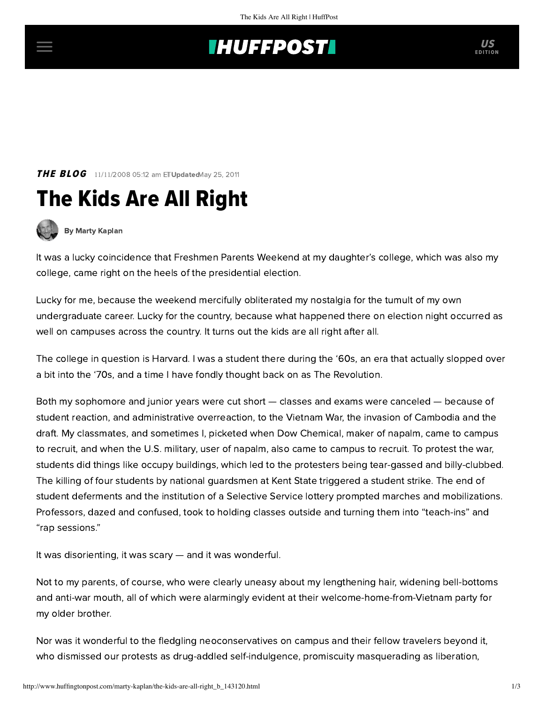## **THUFFPOST**

**THE BLOG** 11/11/2008 05:12 am ETUpdatedMay 25, 2011

# The Kids Are All Right



[By Marty Kaplan](http://www.huffingtonpost.com/author/marty-kaplan)

It was a lucky coincidence that Freshmen Parents Weekend at my daughter's college, which was also my college, came right on the heels of the presidential election.

Lucky for me, because the weekend mercifully obliterated my nostalgia for the tumult of my own undergraduate career. Lucky for the country, because what happened there on election night occurred as well on campuses across the country. It turns out the kids are all right after all.

The college in question is Harvard. I was a student there during the '60s, an era that actually slopped over a bit into the '70s, and a time I have fondly thought back on as The Revolution.

Both my sophomore and junior years were cut short — classes and exams were canceled — because of student reaction, and administrative overreaction, to the Vietnam War, the invasion of Cambodia and the draft. My classmates, and sometimes I, picketed when Dow Chemical, maker of napalm, came to campus to recruit, and when the U.S. military, user of napalm, also came to campus to recruit. To protest the war, students did things like occupy buildings, which led to the protesters being tear-gassed and billy-clubbed. The killing of four students by national guardsmen at Kent State triggered a student strike. The end of student deferments and the institution of a Selective Service lottery prompted marches and mobilizations. Professors, dazed and confused, took to holding classes outside and turning them into "teach-ins" and "rap sessions."

It was disorienting, it was scary — and it was wonderful.

Not to my parents, of course, who were clearly uneasy about my lengthening hair, widening bell-bottoms and anti-war mouth, all of which were alarmingly evident at their welcome-home-from-Vietnam party for my older brother.

Nor was it wonderful to the fledgling neoconservatives on campus and their fellow travelers beyond it, who dismissed our protests as drug-addled self-indulgence, promiscuity masquerading as liberation,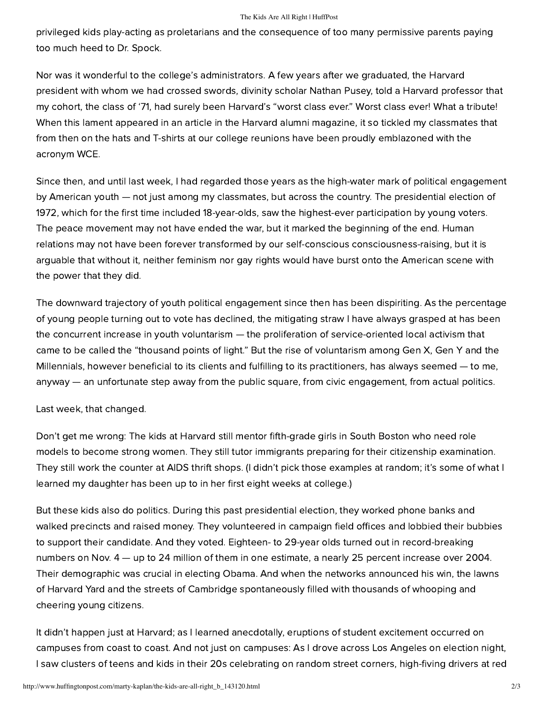#### The Kids Are All Right | HuffPost

privileged kids play-acting as proletarians and the consequence of too many permissive parents paying too much heed to Dr. Spock.

Nor was it wonderful to the college's administrators. A few years after we graduated, the Harvard president with whom we had crossed swords, divinity scholar Nathan Pusey, told a Harvard professor that my cohort, the class of '71, had surely been Harvard's "worst class ever." Worst class ever! What a tribute! When this lament appeared in an article in the Harvard alumni magazine, it so tickled my classmates that from then on the hats and T-shirts at our college reunions have been proudly emblazoned with the acronym WCE.

Since then, and until last week, I had regarded those years as the high-water mark of political engagement by American youth — not just among my classmates, but across the country. The presidential election of 1972, which for the first time included 18-year-olds, saw the highest-ever participation by young voters. The peace movement may not have ended the war, but it marked the beginning of the end. Human relations may not have been forever transformed by our self-conscious consciousness-raising, but it is arguable that without it, neither feminism nor gay rights would have burst onto the American scene with the power that they did.

The downward trajectory of youth political engagement since then has been dispiriting. As the percentage of young people turning out to vote has declined, the mitigating straw I have always grasped at has been the concurrent increase in youth voluntarism — the proliferation of service-oriented local activism that came to be called the "thousand points of light." But the rise of voluntarism among Gen X, Gen Y and the Millennials, however beneficial to its clients and fulfilling to its practitioners, has always seemed — to me, anyway — an unfortunate step away from the public square, from civic engagement, from actual politics.

## Last week, that changed.

Don't get me wrong: The kids at Harvard still mentor fifth-grade girls in South Boston who need role models to become strong women. They still tutor immigrants preparing for their citizenship examination. They still work the counter at AIDS thrift shops. (I didn't pick those examples at random; it's some of what I learned my daughter has been up to in her first eight weeks at college.)

But these kids also do politics. During this past presidential election, they worked phone banks and walked precincts and raised money. They volunteered in campaign field offices and lobbied their bubbies to support their candidate. And they voted. Eighteen- to 29-year olds turned out in record-breaking numbers on Nov. 4 — up to 24 million of them in one estimate, a nearly 25 percent increase over 2004. Their demographic was crucial in electing Obama. And when the networks announced his win, the lawns of Harvard Yard and the streets of Cambridge spontaneously filled with thousands of whooping and cheering young citizens.

It didn't happen just at Harvard; as I learned anecdotally, eruptions of student excitement occurred on campuses from coast to coast. And not just on campuses: As I drove across Los Angeles on election night, I saw clusters of teens and kids in their 20s celebrating on random street corners, high-fiving drivers at red